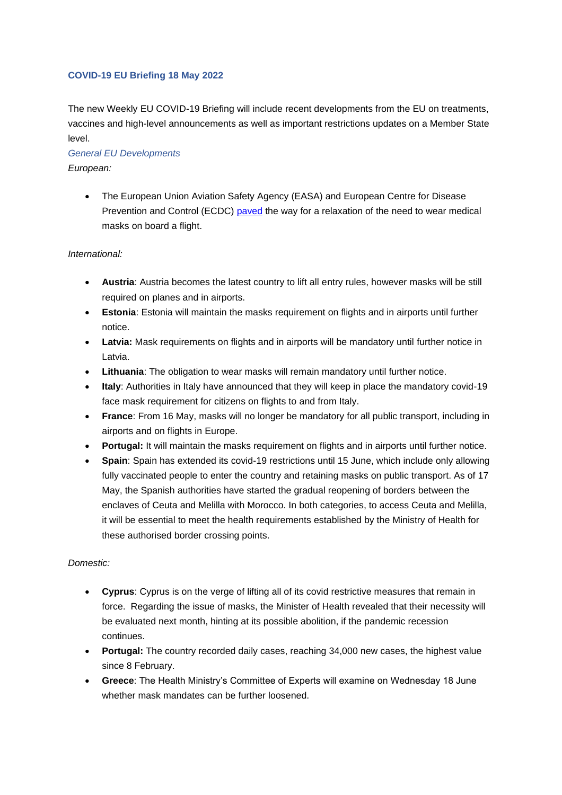## **COVID-19 EU Briefing 18 May 2022**

The new Weekly EU COVID-19 Briefing will include recent developments from the EU on treatments, vaccines and high-level announcements as well as important restrictions updates on a Member State level.

## *General EU Developments European:*

• The European Union Aviation Safety Agency (EASA) and European Centre for Disease Prevention and Control (ECDC) [paved](http://email.comms.dehavillandeurope.eu/c/eJwdT8FuhSAQ_Bq9NEsAscqBg5ce-w9bWCopigHU9_kPm2xmN5OZnYwzfqAZVR-M5FLyUcxcD5xrJhWite3SqAXOtlPcpm0rzNGKV4gRd0dnTgcxOvvVeMvJDZ6UmoRXNM2W_yg_6lEIJfXn1Eez1nqUblg6-dXmvm9G1ln2_wXbaiTtDXa6C9BFey0PhQWhhcEjhop_BD7kUqFUOgpkivgCm67gQGjYmvzMVABDhprxothn0-yZmKeQWo0jNeeTyVL-7av5TvvHcta0RMr1DZh9Wls) the way for a relaxation of the need to wear medical masks on board a flight.

## *International:*

- **Austria**: Austria becomes the latest country to lift all entry rules, however masks will be still required on planes and in airports.
- **Estonia**: Estonia will maintain the masks requirement on flights and in airports until further notice.
- **Latvia:** Mask requirements on flights and in airports will be mandatory until further notice in Latvia.
- **Lithuania**: The obligation to wear masks will remain mandatory until further notice.
- **Italy**: Authorities in Italy have announced that they will keep in place the mandatory covid-19 face mask requirement for citizens on flights to and from Italy.
- **France**: From 16 May, masks will no longer be mandatory for all public transport, including in airports and on flights in Europe.
- **Portugal:** It will maintain the masks requirement on flights and in airports until further notice.
- **Spain**: Spain has extended its covid-19 restrictions until 15 June, which include only allowing fully vaccinated people to enter the country and retaining masks on public transport. As of 17 May, the Spanish authorities have started the gradual reopening of borders between the enclaves of Ceuta and Melilla with Morocco. In both categories, to access Ceuta and Melilla, it will be essential to meet the health requirements established by the Ministry of Health for these authorised border crossing points.

## *Domestic:*

- **Cyprus**: Cyprus is on the verge of lifting all of its covid restrictive measures that remain in force. Regarding the issue of masks, the Minister of Health revealed that their necessity will be evaluated next month, hinting at its possible abolition, if the pandemic recession continues.
- **Portugal:** The country recorded daily cases, reaching 34,000 new cases, the highest value since 8 February.
- **Greece**: The Health Ministry's Committee of Experts will examine on Wednesday 18 June whether mask mandates can be further loosened.